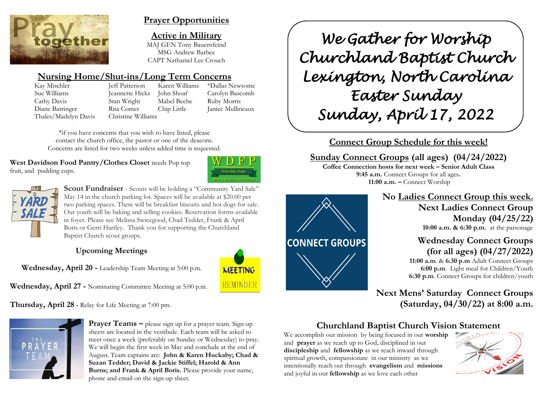

## **Prayer Opportunities**

**Active in Military**

MAJ GEN Tony Bauernfeind MSG Andrew Barbee CAPT Nathaniel Lee Crouch

# **Nursing Home/Shut-ins/Long Term Concerns**

Thales/Madelyn Davis Christine Williams

Kay Mischler Jeff Patterson Karen Williams \*Dallas Newsome Sue Williams Jeannette Hicks John Shoaf Carolyn Bascomb Cathy Davis Stan Wright Mabel Beebe Ruby Morris Diane Barringer Rita Comer Chip Little Janice Mullineaux

\*if you have concerns that you wish to have listed, please contact the church office, the pastor or one of the deacons. Concerns are listed for two weeks unless added time is requested.

**West Davidson Food Pantry/Clothes Closet** needs Pop top fruit, and pudding cups.





**Scout Fundraiser** - Scouts will be holding a "Community Yard Sale" May 14 in the church parking lot. Spaces will be available at \$20.00 per two parking spaces. There will be breakfast biscuits and hot dogs for sale. Our youth will be baking and selling cookies. Reservation forms available in foyer. Please see Melissa Swicegood, Chad Tedder, Frank & April Boris or Gerri Hartley. Thank you for supporting the Churchland Baptist Church scout groups.

## **Upcoming Meetings**

**Wednesday, April 20 -** Leadership Team Meeting at 5:00 p.m.



**Wednesday, April 27 -** Nominating Committee Meeting at 5:00 p.m.

**Thursday, April 28 -** Relay for Life Meeting at 7:00 pm.



**Prayer Teams –** please sign up for a prayer team. Sign-up sheets are located in the vestibule. Each team will be asked to meet once a week (preferably on Sunday or Wednesday) to pray. We will begin the first week in May and conclude at the end of August. Team captains are: **John & Karen Huckaby; Chad & Suzan Tedder; David & Jackie Stiffel; Harold & Ann Burns; and Frank & April Boris.** Please provide your name, phone and email on the sign-up sheet.

*We Gather for Worship Churchland Baptist Church Lexington, North Carolina Easter Sunday Sunday, April 17, 2022* 

**Connect Group Schedule for this week!**

**Sunday Connect Groups (all ages) (04/24/2022) Coffee Connection hosts for next week – Senior Adult Class 9:45 a.m.** Connect Groups for all ages**. 11:00 a.m. –** Connect Worship



**No Ladies Connect Group this week. Next Ladies Connect Group Monday (04/25/22) 10:00 a.m. & 6:30 p.m.** at the parsonage

> **Wednesday Connect Groups (for all ages) (04/27/2022) 11:00 a.m**. & **6:30 p.m** Adult Connect Groups

 **6:00 p.m**. Light meal for Children/Youth **6:30 p.m**. Connect Groups for children/youth

**Next Mens' Saturday Connect Groups (Saturday, 04/30/22) at 8:00 a.m.**

# **Churchland Baptist Church Vision Statement**

We accomplish our mission by being focused in our **worship** and **prayer** as we reach up to God, disciplined in our **discipleship** and **fellowship** as we reach inward through spiritual growth, compassionate in our ministry as we intentionally reach out through **evangelism** and **missions** and joyful in our **fellowship** as we love each other

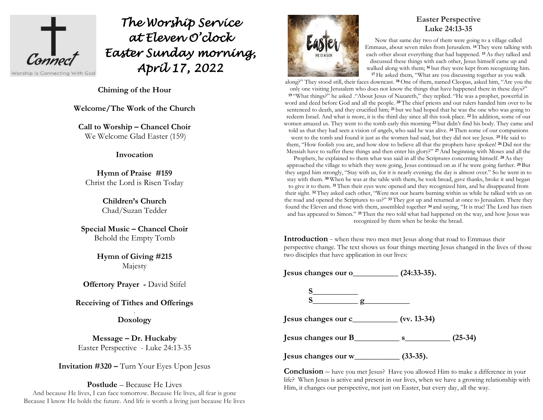

# *The Worship Service at Eleven O'clock Easter Sunday morning, April 17, 2022*

**Chiming of the Hour**

**Welcome/The Work of the Church**

**Call to Worship – Chancel Choir** We Welcome Glad Easter (159)

#### **Invocation**

**Hymn of Praise #159**  Christ the Lord is Risen Today

> **Children's Church** Chad/Suzan Tedder

**Special Music – Chancel Choir** Behold the Empty Tomb

> **Hymn of Giving #215**  Majesty

**Offertory Prayer -** David Stifel

## **Receiving of Tithes and Offerings**

. **Doxology**

**Message – Dr. Huckaby** Easter Perspective - Luke 24:13-35

**Invitation #320 –** Turn Your Eyes Upon Jesus

**Postlude** – Because He Lives And because He lives, I can face tomorrow. Because He lives, all fear is gone Because I know He holds the future. And life is worth a living just because He lives



## **Easter Perspective Luke 24:13-35**

Now that same day two of them were going to a village called Emmaus, about seven miles from Jerusalem. **<sup>14</sup>** They were talking with each other about everything that had happened. **<sup>15</sup>**As they talked and discussed these things with each other, Jesus himself came up and walked along with them; **<sup>16</sup>** but they were kept from recognizing him. **<sup>17</sup>** He asked them, "What are you discussing together as you walk

along?" They stood still, their faces downcast. **<sup>18</sup>** One of them, named Cleopas, asked him, "Are you the only one visiting Jerusalem who does not know the things that have happened there in these days?" **<sup>19</sup>** "What things?" he asked ."About Jesus of Nazareth," they replied. "He was a prophet, powerful in word and deed before God and all the people. **<sup>20</sup>** The chief priests and our rulers handed him over to be sentenced to death, and they crucified him; **<sup>21</sup>** but we had hoped that he was the one who was going to redeem Israel. And what is more, it is the third day since all this took place. **<sup>22</sup>** In addition, some of our women amazed us. They went to the tomb early this morning **<sup>23</sup>** but didn't find his body. They came and told us that they had seen a vision of angels, who said he was alive. **<sup>24</sup>** Then some of our companions went to the tomb and found it just as the women had said, but they did not see Jesus. **<sup>25</sup>** He said to them, "How foolish you are, and how slow to believe all that the prophets have spoken! **<sup>26</sup>** Did not the Messiah have to suffer these things and then enter his glory?" **<sup>27</sup>**And beginning with Moses and all the

Prophets, he explained to them what was said in all the Scriptures concerning himself. **<sup>28</sup>** As they approached the village to which they were going, Jesus continued on as if he were going farther. **<sup>29</sup>** But they urged him strongly, "Stay with us, for it is nearly evening; the day is almost over." So he went in to stay with them. **<sup>30</sup>** When he was at the table with them, he took bread, gave thanks, broke it and began to give it to them. **<sup>31</sup>** Then their eyes were opened and they recognized him, and he disappeared from their sight. **<sup>32</sup>** They asked each other, "Were not our hearts burning within us while he talked with us on the road and opened the Scriptures to us?" **<sup>33</sup>** They got up and returned at once to Jerusalem. There they found the Eleven and those with them, assembled together **<sup>34</sup>** and saying, "It is true! The Lord has risen and has appeared to Simon." **<sup>35</sup>** Then the two told what had happened on the way, and how Jesus was recognized by them when he broke the bread.

**Introduction** - when these two men met Jesus along that road to Emmaus their perspective change. The text shows us four things meeting Jesus changed in the lives of those two disciples that have application in our lives:

**Jesus changes our o\_\_\_\_\_\_\_\_\_\_\_ (24:33-35).**

**S\_\_\_\_\_\_\_\_\_\_\_ S\_\_\_\_\_\_\_\_\_\_\_ g\_\_\_\_\_\_\_\_\_\_\_**

**Jesus changes our c\_\_\_\_\_\_\_\_\_\_\_ (vv. 13-34)**

**Jesus changes our B\_\_\_\_\_\_\_\_\_\_\_ s\_\_\_\_\_\_\_\_\_\_\_ (25-34)**

**Jesus changes our w\_\_\_\_\_\_\_\_\_\_\_ (33-35).**

**Conclusion** – have you met Jesus? Have you allowed Him to make a difference in your life? When Jesus is active and present in our lives, when we have a growing relationship with Him, it changes our perspective, not just on Easter, but every day, all the way.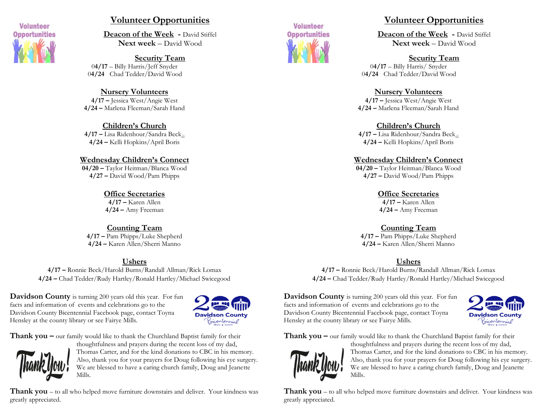

## **Volunteer Opportunities**

**Deacon of the Week -** David Stiffel **Next week** – David Wood

## **Security Team**

0**4/17** – Billy Harris/Jeff Snyder 0**4/24** Chad Tedder/David Wood

#### **Nursery Volunteers**

**4/17 –** Jessica West/Angie West **4/24 –** Marlena Fleeman/Sarah Hand

## **Children's Church**

**4/17 –** Lisa Ridenhour/Sandra Beck – **4/24 –** Kelli Hopkins/April Boris

#### **Wednesday Children's Connect**

**04/20 –** Taylor Heitman/Blanca Wood **4/27 –** David Wood/Pam Phipps

## **Office Secretaries**

**4/17 –** Karen Allen **4/24 –** Amy Freeman

## **Counting Team**

**4/17 –** Pam Phipps/Luke Shepherd **4/24 –** Karen Allen/Sherri Manno

## **Ushers**

**4/17 –** Ronnie Beck/Harold Burns/Randall Allman/Rick Lomax **4/24 –** Chad Tedder/Rudy Hartley/Ronald Hartley/Michael Swicegood

**Davidson County** is turning 200 years old this year. For fun facts and information of events and celebrations go to the Davidson County Bicentennial Facebook page, contact Toyna Hensley at the county library or see Fairye Mills.



**Thank you –** our family would like to thank the Churchland Baptist family for their



thoughtfulness and prayers during the recent loss of my dad, Thomas Carter, and for the kind donations to CBC in his memory. Also, thank you for your prayers for Doug following his eye surgery. We are blessed to have a caring church family, Doug and Jeanette Mills.

**Thank you** – to all who helped move furniture downstairs and deliver. Your kindness was greatly appreciated.



## **Volunteer Opportunities**

**Deacon of the Week -** David Stiffel **Next week** – David Wood

#### **Security Team**

0**4/17** – Billy Harris/ Snyder 0**4/24** Chad Tedder/David Wood

#### **Nursery Volunteers**

**4/17 –** Jessica West/Angie West **4/24 –** Marlena Fleeman/Sarah Hand

#### **Children's Church**

**4/17 –** Lisa Ridenhour/Sandra Beck – **4/24 –** Kelli Hopkins/April Boris

#### **Wednesday Children's Connect**

**04/20 –** Taylor Heitman/Blanca Wood **4/27 –** David Wood/Pam Phipps

> **Office Secretaries 4/17 –** Karen Allen

**4/24 –** Amy Freeman

## **Counting Team**

**4/17 –** Pam Phipps/Luke Shepherd **4/24 –** Karen Allen/Sherri Manno

#### **Ushers**

**4/17 –** Ronnie Beck/Harold Burns/Randall Allman/Rick Lomax **4/24 –** Chad Tedder/Rudy Hartley/Ronald Hartley/Michael Swicegood

**Davidson County** is turning 200 years old this year. For fun facts and information of events and celebrations go to the Davidson County Bicentennial Facebook page, contact Toyna Hensley at the county library or see Fairye Mills.



**Thank you –** our family would like to thank the Churchland Baptist family for their



thoughtfulness and prayers during the recent loss of my dad, Thomas Carter, and for the kind donations to CBC in his memory. Also, thank you for your prayers for Doug following his eye surgery. We are blessed to have a caring church family, Doug and Jeanette Mills.

**Thank you** – to all who helped move furniture downstairs and deliver. Your kindness was greatly appreciated.